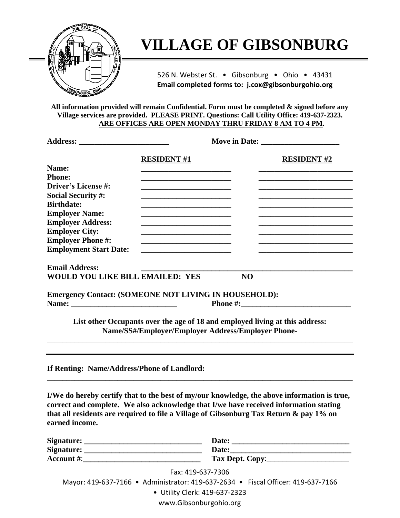

## **VILLAGE OF GIBSONBURG**

526 N. Webster St. • Gibsonburg • Ohio • 43431 **Email completed forms to: j.cox@gibsonburgohio.org**

**All information provided will remain Confidential. Form must be completed & signed before any Village services are provided. PLEASE PRINT. Questions: Call Utility Office: 419-637-2323. ARE OFFICES ARE OPEN MONDAY THRU FRIDAY 8 AM TO 4 PM.** 

|                                                              | <b>RESIDENT#1</b>                                                                                                                  |                                 | <b>RESIDENT #2</b> |
|--------------------------------------------------------------|------------------------------------------------------------------------------------------------------------------------------------|---------------------------------|--------------------|
| Name:                                                        |                                                                                                                                    |                                 |                    |
| <b>Phone:</b>                                                |                                                                                                                                    |                                 |                    |
| Driver's License #:                                          |                                                                                                                                    |                                 |                    |
| <b>Social Security #:</b>                                    |                                                                                                                                    |                                 |                    |
| <b>Birthdate:</b>                                            |                                                                                                                                    |                                 |                    |
| <b>Employer Name:</b>                                        |                                                                                                                                    |                                 |                    |
| <b>Employer Address:</b>                                     | the control of the control of the control of the control of the control of                                                         |                                 |                    |
| <b>Employer City:</b>                                        |                                                                                                                                    |                                 |                    |
| <b>Employer Phone#:</b>                                      |                                                                                                                                    |                                 |                    |
| <b>Employment Start Date:</b>                                |                                                                                                                                    |                                 |                    |
| <b>Email Address:</b>                                        |                                                                                                                                    |                                 |                    |
| WOULD YOU LIKE BILL EMAILED: YES                             |                                                                                                                                    | N <sub>O</sub>                  |                    |
| <b>Emergency Contact: (SOMEONE NOT LIVING IN HOUSEHOLD):</b> |                                                                                                                                    | <b>Phone #:</b> $\qquad \qquad$ |                    |
|                                                              | List other Occupants over the age of 18 and employed living at this address:<br>Name/SS#/Employer/Employer Address/Employer Phone- |                                 |                    |
| If Renting: Name/Address/Phone of Landlord:                  |                                                                                                                                    |                                 |                    |
|                                                              |                                                                                                                                    |                                 |                    |

**I/We do hereby certify that to the best of my/our knowledge, the above information is true, correct and complete. We also acknowledge that I/we have received information stating that all residents are required to file a Village of Gibsonburg Tax Return & pay 1% on earned income.**

| Signature:        | <b>Date:</b>    |
|-------------------|-----------------|
| Signature:        | Date:           |
| <b>Account</b> #: | Tax Dept. Copy: |

Fax: 419-637-7306

Mayor: 419-637-7166 • Administrator: 419-637-2634 • Fiscal Officer: 419-637-7166

• Utility Clerk: 419-637-2323

www.Gibsonburgohio.org